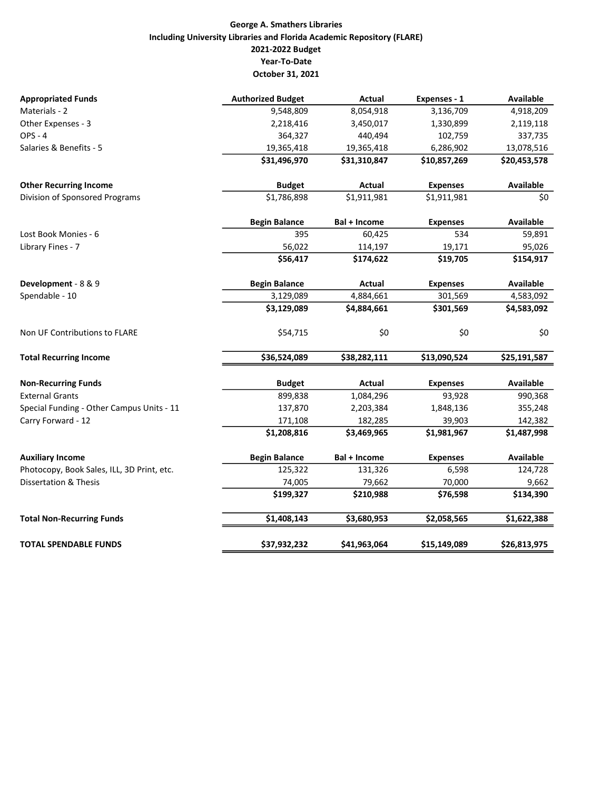## George A. Smathers Libraries Including University Libraries and Florida Academic Repository (FLARE) 2021-2022 Budget Year-To-Date October 31, 2021

| <b>Appropriated Funds</b>                  | <b>Authorized Budget</b> | <b>Actual</b> | Expenses - 1    | <b>Available</b> |
|--------------------------------------------|--------------------------|---------------|-----------------|------------------|
| Materials - 2                              | 9,548,809                | 8,054,918     | 3,136,709       | 4,918,209        |
| Other Expenses - 3                         | 2,218,416                | 3,450,017     | 1,330,899       | 2,119,118        |
| <b>OPS - 4</b>                             | 364,327                  | 440,494       | 102,759         | 337,735          |
| Salaries & Benefits - 5                    | 19,365,418               | 19,365,418    | 6,286,902       | 13,078,516       |
|                                            | \$31,496,970             | \$31,310,847  | \$10,857,269    | \$20,453,578     |
| <b>Other Recurring Income</b>              | <b>Budget</b>            | Actual        | <b>Expenses</b> | <b>Available</b> |
| Division of Sponsored Programs             | \$1,786,898              | \$1,911,981   | \$1,911,981     | \$0              |
|                                            | <b>Begin Balance</b>     | Bal + Income  | <b>Expenses</b> | <b>Available</b> |
| Lost Book Monies - 6                       | 395                      | 60,425        | 534             | 59,891           |
| Library Fines - 7                          | 56,022                   | 114,197       | 19,171          | 95,026           |
|                                            | \$56,417                 | \$174,622     | \$19,705        | \$154,917        |
| Development - 8 & 9                        | <b>Begin Balance</b>     | Actual        | <b>Expenses</b> | <b>Available</b> |
| Spendable - 10                             | 3,129,089                | 4,884,661     | 301,569         | 4,583,092        |
|                                            | \$3,129,089              | \$4,884,661   | \$301,569       | \$4,583,092      |
| Non UF Contributions to FLARE              | \$54,715                 | \$0           | \$0             | \$0              |
| <b>Total Recurring Income</b>              | \$36,524,089             | \$38,282,111  | \$13,090,524    | \$25,191,587     |
| <b>Non-Recurring Funds</b>                 | <b>Budget</b>            | Actual        | <b>Expenses</b> | <b>Available</b> |
| <b>External Grants</b>                     | 899,838                  | 1,084,296     | 93,928          | 990,368          |
| Special Funding - Other Campus Units - 11  | 137,870                  | 2,203,384     | 1,848,136       | 355,248          |
| Carry Forward - 12                         | 171,108                  | 182,285       | 39,903          | 142,382          |
|                                            | \$1,208,816              | \$3,469,965   | \$1,981,967     | \$1,487,998      |
| <b>Auxiliary Income</b>                    | <b>Begin Balance</b>     | Bal + Income  | <b>Expenses</b> | Available        |
| Photocopy, Book Sales, ILL, 3D Print, etc. | 125,322                  | 131,326       | 6,598           | 124,728          |
| <b>Dissertation &amp; Thesis</b>           | 74,005                   | 79,662        | 70,000          | 9,662            |
|                                            | \$199,327                | \$210,988     | \$76,598        | \$134,390        |
| <b>Total Non-Recurring Funds</b>           | \$1,408,143              | \$3,680,953   | \$2,058,565     | \$1,622,388      |
| <b>TOTAL SPENDABLE FUNDS</b>               | \$37,932,232             | \$41,963,064  | \$15,149,089    | \$26,813,975     |